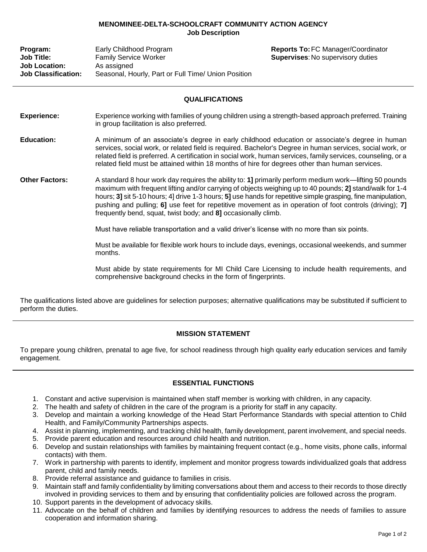## **MENOMINEE-DELTA-SCHOOLCRAFT COMMUNITY ACTION AGENCY Job Description**

| Program:                   | Early Childhood Program                             |
|----------------------------|-----------------------------------------------------|
| <b>Job Title:</b>          | <b>Family Service Worker</b>                        |
| <b>Job Location:</b>       | As assigned                                         |
| <b>Job Classification:</b> | Seasonal, Hourly, Part or Full Time/ Union Position |

**Reports To: FC Manager/Coordinator Supervises: No supervisory duties** 

## **QUALIFICATIONS**

- **Experience:** Experience working with families of young children using a strength-based approach preferred. Training in group facilitation is also preferred.
- **Education:** A minimum of an associate's degree in early childhood education or associate's degree in human services, social work, or related field is required. Bachelor's Degree in human services, social work, or related field is preferred. A certification in social work, human services, family services, counseling, or a related field must be attained within 18 months of hire for degrees other than human services.
- **Other Factors:** A standard 8 hour work day requires the ability to: **1]** primarily perform medium work—lifting 50 pounds maximum with frequent lifting and/or carrying of objects weighing up to 40 pounds; **2]** stand/walk for 1-4 hours; **3]** sit 5-10 hours; 4] drive 1-3 hours; **5]** use hands for repetitive simple grasping, fine manipulation, pushing and pulling; **6]** use feet for repetitive movement as in operation of foot controls (driving); **7]** frequently bend, squat, twist body; and **8]** occasionally climb.

Must have reliable transportation and a valid driver's license with no more than six points.

Must be available for flexible work hours to include days, evenings, occasional weekends, and summer months.

Must abide by state requirements for MI Child Care Licensing to include health requirements, and comprehensive background checks in the form of fingerprints.

The qualifications listed above are guidelines for selection purposes; alternative qualifications may be substituted if sufficient to perform the duties.

## **MISSION STATEMENT**

To prepare young children, prenatal to age five, for school readiness through high quality early education services and family engagement.

## **ESSENTIAL FUNCTIONS**

- 1. Constant and active supervision is maintained when staff member is working with children, in any capacity.
- 2. The health and safety of children in the care of the program is a priority for staff in any capacity.
- 3. Develop and maintain a working knowledge of the Head Start Performance Standards with special attention to Child Health, and Family/Community Partnerships aspects.
- 4. Assist in planning, implementing, and tracking child health, family development, parent involvement, and special needs.
- 5. Provide parent education and resources around child health and nutrition.
- 6. Develop and sustain relationships with families by maintaining frequent contact (e.g., home visits, phone calls, informal contacts) with them.
- 7. Work in partnership with parents to identify, implement and monitor progress towards individualized goals that address parent, child and family needs.
- 8. Provide referral assistance and guidance to families in crisis.
- 9. Maintain staff and family confidentiality by limiting conversations about them and access to their records to those directly involved in providing services to them and by ensuring that confidentiality policies are followed across the program.
- 10. Support parents in the development of advocacy skills.
- 11. Advocate on the behalf of children and families by identifying resources to address the needs of families to assure cooperation and information sharing.